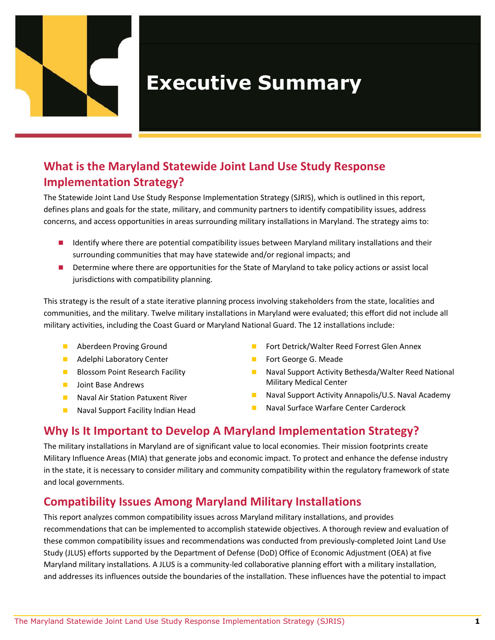

# **Executive Summary**

# **What is the Maryland Statewide Joint Land Use Study Response Implementation Strategy?**

The Statewide Joint Land Use Study Response Implementation Strategy (SJRIS), which is outlined in this report, defines plans and goals for the state, military, and community partners to identify compatibility issues, address concerns, and access opportunities in areas surrounding military installations in Maryland. The strategy aims to:

- I Identify where there are potential compatibility issues between Maryland military installations and their surrounding communities that may have statewide and/or regional impacts; and
- Determine where there are opportunities for the State of Maryland to take policy actions or assist local jurisdictions with compatibility planning.

This strategy is the result of a state iterative planning process involving stakeholders from the state, localities and communities, and the military. Twelve military installations in Maryland were evaluated; this effort did not include all military activities, including the Coast Guard or Maryland National Guard. The 12 installations include:

- **Aberdeen Proving Ground**
- **Adelphi Laboratory Center**
- **Blossom Point Research Facility**
- **Joint Base Andrews**
- **Naval Air Station Patuxent River**
- **Naval Support Facility Indian Head**
- Fort Detrick/Walter Reed Forrest Glen Annex
- **Fort George G. Meade**
- Naval Support Activity Bethesda/Walter Reed National Military Medical Center
- **Naval Support Activity Annapolis/U.S. Naval Academy**
- **Naval Surface Warfare Center Carderock**

## **Why Is It Important to Develop A Maryland Implementation Strategy?**

The military installations in Maryland are of significant value to local economies. Their mission footprints create Military Influence Areas (MIA) that generate jobs and economic impact. To protect and enhance the defense industry in the state, it is necessary to consider military and community compatibility within the regulatory framework of state and local governments.

## **Compatibility Issues Among Maryland Military Installations**

This report analyzes common compatibility issues across Maryland military installations, and provides recommendations that can be implemented to accomplish statewide objectives. A thorough review and evaluation of these common compatibility issues and recommendations was conducted from previously-completed Joint Land Use Study (JLUS) efforts supported by the Department of Defense (DoD) Office of Economic Adjustment (OEA) at five Maryland military installations. A JLUS is a community-led collaborative planning effort with a military installation, and addresses its influences outside the boundaries of the installation. These influences have the potential to impact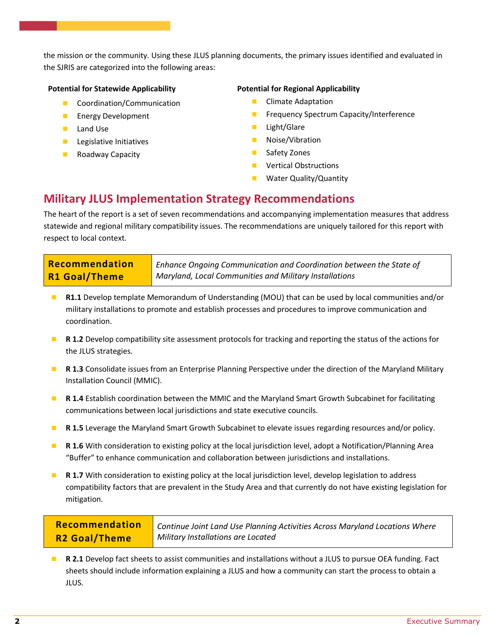the mission or the community. Using these JLUS planning documents, the primary issues identified and evaluated in the SJRIS are categorized into the following areas:

## **Potential for Statewide Applicability**

- **Coordination/Communication**
- **Energy Development**
- **Land Use**
- **Legislative Initiatives**
- **Roadway Capacity**

## **Potential for Regional Applicability**

- **Climate Adaptation**
- **Figure 1** Frequency Spectrum Capacity/Interference
- **Light/Glare**
- Noise/Vibration
- Safety Zones
- Vertical Obstructions
- Water Quality/Quantity

## **Military JLUS Implementation Strategy Recommendations**

The heart of the report is a set of seven recommendations and accompanying implementation measures that address statewide and regional military compatibility issues. The recommendations are uniquely tailored for this report with respect to local context.

| Recommendation       | <sup>1</sup> Enhance Ongoing Communication and Coordination between the State of |
|----------------------|----------------------------------------------------------------------------------|
| <b>R1 Goal/Theme</b> | Maryland, Local Communities and Military Installations                           |

- **R1.1** Develop template Memorandum of Understanding (MOU) that can be used by local communities and/or military installations to promote and establish processes and procedures to improve communication and coordination.
- **R 1.2** Develop compatibility site assessment protocols for tracking and reporting the status of the actions for the JLUS strategies.
- **R 1.3** Consolidate issues from an Enterprise Planning Perspective under the direction of the Maryland Military Installation Council (MMIC).
- **R 1.4** Establish coordination between the MMIC and the Maryland Smart Growth Subcabinet for facilitating communications between local jurisdictions and state executive councils.
- **R 1.5** Leverage the Maryland Smart Growth Subcabinet to elevate issues regarding resources and/or policy.
- **R 1.6** With consideration to existing policy at the local jurisdiction level, adopt a Notification/Planning Area "Buffer" to enhance communication and collaboration between jurisdictions and installations.
- **R 1.7** With consideration to existing policy at the local jurisdiction level, develop legislation to address compatibility factors that are prevalent in the Study Area and that currently do not have existing legislation for mitigation.

**Recommendation R2 Goal/Theme**

*Continue Joint Land Use Planning Activities Across Maryland Locations Where Military Installations are Located*

 **R 2.1** Develop fact sheets to assist communities and installations without a JLUS to pursue OEA funding. Fact sheets should include information explaining a JLUS and how a community can start the process to obtain a JLUS.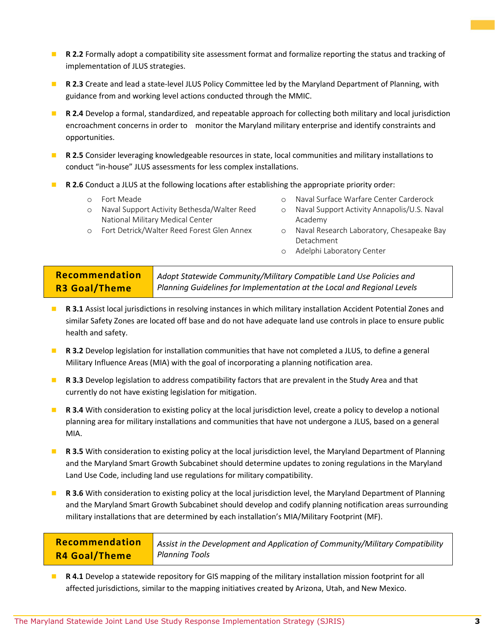- **R 2.2** Formally adopt a compatibility site assessment format and formalize reporting the status and tracking of implementation of JLUS strategies.
- **R 2.3** Create and lead a state-level JLUS Policy Committee led by the Maryland Department of Planning, with guidance from and working level actions conducted through the MMIC.
- **R 2.4** Develop a formal, standardized, and repeatable approach for collecting both military and local jurisdiction encroachment concerns in order to monitor the Maryland military enterprise and identify constraints and opportunities.
- **R 2.5** Consider leveraging knowledgeable resources in state, local communities and military installations to conduct "in-house" JLUS assessments for less complex installations.
- **R 2.6** Conduct a JLUS at the following locations after establishing the appropriate priority order:
	- o Fort Meade
	- o Naval Support Activity Bethesda/Walter Reed National Military Medical Center
- o Naval Surface Warfare Center Carderock
- o Naval Support Activity Annapolis/U.S. Naval Academy
- o Fort Detrick/Walter Reed Forest Glen Annex
- o Naval Research Laboratory, Chesapeake Bay Detachment
- o Adelphi Laboratory Center

#### **Recommendation R3 Goal/Theme** *Adopt Statewide Community/Military Compatible Land Use Policies and Planning Guidelines for Implementation at the Local and Regional Levels*

- **R 3.1** Assist local jurisdictions in resolving instances in which military installation Accident Potential Zones and similar Safety Zones are located off base and do not have adequate land use controls in place to ensure public health and safety.
- **R 3.2** Develop legislation for installation communities that have not completed a JLUS, to define a general Military Influence Areas (MIA) with the goal of incorporating a planning notification area.
- **R 3.3** Develop legislation to address compatibility factors that are prevalent in the Study Area and that currently do not have existing legislation for mitigation.
- **R 3.4** With consideration to existing policy at the local jurisdiction level, create a policy to develop a notional planning area for military installations and communities that have not undergone a JLUS, based on a general MIA.
- **R 3.5** With consideration to existing policy at the local jurisdiction level, the Maryland Department of Planning and the Maryland Smart Growth Subcabinet should determine updates to zoning regulations in the Maryland Land Use Code, including land use regulations for military compatibility.
- **R 3.6** With consideration to existing policy at the local jurisdiction level, the Maryland Department of Planning and the Maryland Smart Growth Subcabinet should develop and codify planning notification areas surrounding military installations that are determined by each installation's MIA/Military Footprint (MF).

| Recommendation | Assist in the Development and Application of Community/Military Compatibility |
|----------------|-------------------------------------------------------------------------------|
| R4 Goal/Theme  | <b>Planning Tools</b>                                                         |

 **R 4.1** Develop a statewide repository for GIS mapping of the military installation mission footprint for all affected jurisdictions, similar to the mapping initiatives created by Arizona, Utah, and New Mexico.